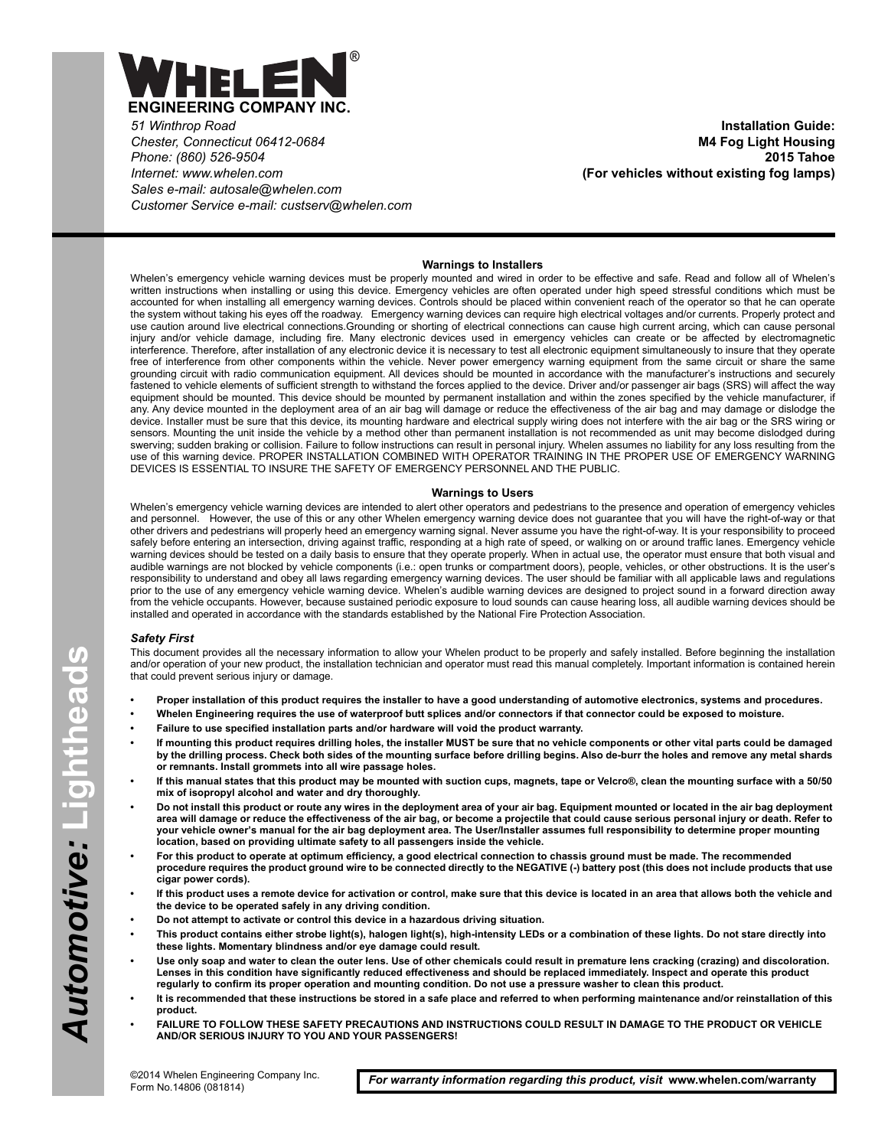

*51 Winthrop Road Chester, Connecticut 06412-0684 Phone: (860) 526-9504 Internet: www.whelen.com Sales e-mail: autosale@whelen.com Customer Service e-mail: custserv@whelen.com*

**Installation Guide: M4 Fog Light Housing 2015 Tahoe (For vehicles without existing fog lamps)**

## **Warnings to Installers**

Whelen's emergency vehicle warning devices must be properly mounted and wired in order to be effective and safe. Read and follow all of Whelen's written instructions when installing or using this device. Emergency vehicles are often operated under high speed stressful conditions which must be accounted for when installing all emergency warning devices. Controls should be placed within convenient reach of the operator so that he can operate the system without taking his eyes off the roadway. Emergency warning devices can require high electrical voltages and/or currents. Properly protect and use caution around live electrical connections.Grounding or shorting of electrical connections can cause high current arcing, which can cause personal injury and/or vehicle damage, including fire. Many electronic devices used in emergency vehicles can create or be affected by electromagnetic interference. Therefore, after installation of any electronic device it is necessary to test all electronic equipment simultaneously to insure that they operate free of interference from other components within the vehicle. Never power emergency warning equipment from the same circuit or share the same grounding circuit with radio communication equipment. All devices should be mounted in accordance with the manufacturer's instructions and securely fastened to vehicle elements of sufficient strength to withstand the forces applied to the device. Driver and/or passenger air bags (SRS) will affect the way equipment should be mounted. This device should be mounted by permanent installation and within the zones specified by the vehicle manufacturer, if any. Any device mounted in the deployment area of an air bag will damage or reduce the effectiveness of the air bag and may damage or dislodge the device. Installer must be sure that this device, its mounting hardware and electrical supply wiring does not interfere with the air bag or the SRS wiring or sensors. Mounting the unit inside the vehicle by a method other than permanent installation is not recommended as unit may become dislodged during swerving; sudden braking or collision. Failure to follow instructions can result in personal injury. Whelen assumes no liability for any loss resulting from the use of this warning device. PROPER INSTALLATION COMBINED WITH OPERATOR TRAINING IN THE PROPER USE OF EMERGENCY WARNING DEVICES IS ESSENTIAL TO INSURE THE SAFETY OF EMERGENCY PERSONNEL AND THE PUBLIC.

## **Warnings to Users**

Whelen's emergency vehicle warning devices are intended to alert other operators and pedestrians to the presence and operation of emergency vehicles and personnel. However, the use of this or any other Whelen emergency warning device does not guarantee that you will have the right-of-way or that other drivers and pedestrians will properly heed an emergency warning signal. Never assume you have the right-of-way. It is your responsibility to proceed safely before entering an intersection, driving against traffic, responding at a high rate of speed, or walking on or around traffic lanes. Emergency vehicle warning devices should be tested on a daily basis to ensure that they operate properly. When in actual use, the operator must ensure that both visual and audible warnings are not blocked by vehicle components (i.e.: open trunks or compartment doors), people, vehicles, or other obstructions. It is the user's responsibility to understand and obey all laws regarding emergency warning devices. The user should be familiar with all applicable laws and regulations prior to the use of any emergency vehicle warning device. Whelen's audible warning devices are designed to project sound in a forward direction away from the vehicle occupants. However, because sustained periodic exposure to loud sounds can cause hearing loss, all audible warning devices should be installed and operated in accordance with the standards established by the National Fire Protection Association.

## *Safety First*

This document provides all the necessary information to allow your Whelen product to be properly and safely installed. Before beginning the installation and/or operation of your new product, the installation technician and operator must read this manual completely. Important information is contained herein that could prevent serious injury or damage.

- **Proper installation of this product requires the installer to have a good understanding of automotive electronics, systems and procedures.**
- **Whelen Engineering requires the use of waterproof butt splices and/or connectors if that connector could be exposed to moisture.**
- **Failure to use specified installation parts and/or hardware will void the product warranty.**
- **If mounting this product requires drilling holes, the installer MUST be sure that no vehicle components or other vital parts could be damaged by the drilling process. Check both sides of the mounting surface before drilling begins. Also de-burr the holes and remove any metal shards or remnants. Install grommets into all wire passage holes.**
- **If this manual states that this product may be mounted with suction cups, magnets, tape or Velcro®, clean the mounting surface with a 50/50 mix of isopropyl alcohol and water and dry thoroughly.**
- **Do not install this product or route any wires in the deployment area of your air bag. Equipment mounted or located in the air bag deployment area will damage or reduce the effectiveness of the air bag, or become a projectile that could cause serious personal injury or death. Refer to your vehicle owner's manual for the air bag deployment area. The User/Installer assumes full responsibility to determine proper mounting location, based on providing ultimate safety to all passengers inside the vehicle.**
- **For this product to operate at optimum efficiency, a good electrical connection to chassis ground must be made. The recommended procedure requires the product ground wire to be connected directly to the NEGATIVE (-) battery post (this does not include products that use cigar power cords).**
- **If this product uses a remote device for activation or control, make sure that this device is located in an area that allows both the vehicle and the device to be operated safely in any driving condition.**
- **Do not attempt to activate or control this device in a hazardous driving situation.**
- **This product contains either strobe light(s), halogen light(s), high-intensity LEDs or a combination of these lights. Do not stare directly into these lights. Momentary blindness and/or eye damage could result.**
- **Use only soap and water to clean the outer lens. Use of other chemicals could result in premature lens cracking (crazing) and discoloration. Lenses in this condition have significantly reduced effectiveness and should be replaced immediately. Inspect and operate this product regularly to confirm its proper operation and mounting condition. Do not use a pressure washer to clean this product.**
- **It is recommended that these instructions be stored in a safe place and referred to when performing maintenance and/or reinstallation of this product.**
- **FAILURE TO FOLLOW THESE SAFETY PRECAUTIONS AND INSTRUCTIONS COULD RESULT IN DAMAGE TO THE PRODUCT OR VEHICLE AND/OR SERIOUS INJURY TO YOU AND YOUR PASSENGERS!**

*For warranty information regarding this product, visit* **www.whelen.com/warranty**